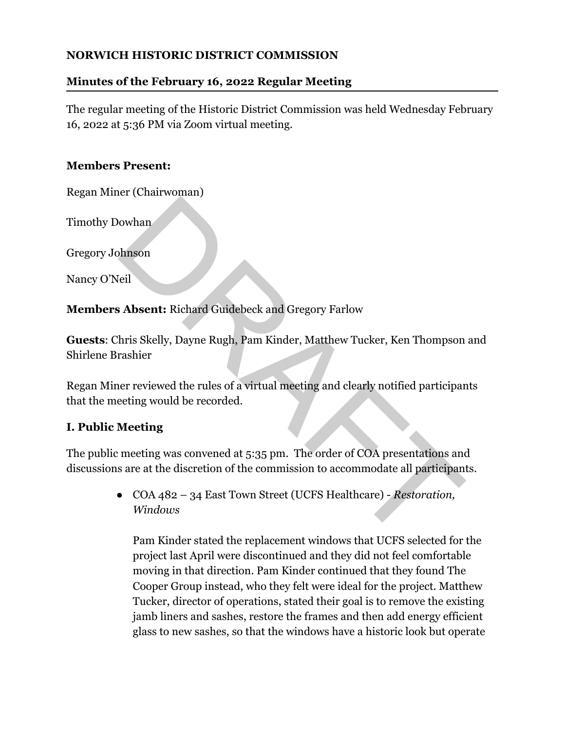## **NORWICH HISTORIC DISTRICT COMMISSION**

# **Minutes of the February 16, 2022 Regular Meeting**

The regular meeting of the Historic District Commission was held Wednesday February 16, 2022 at 5:36 PM via Zoom virtual meeting.

# **Members Present:**

Regan Miner (Chairwoman)

Timothy Dowhan

Gregory Johnson

Nancy O'Neil

**Members Absent:** Richard Guidebeck and Gregory Farlow

**Guests**: Chris Skelly, Dayne Rugh, Pam Kinder, Matthew Tucker, Ken Thompson and Shirlene Brashier

Regan Miner reviewed the rules of a virtual meeting and clearly notified participants that the meeting would be recorded.

# **I. Public Meeting**

The public meeting was convened at 5:35 pm. The order of COA presentations and discussions are at the discretion of the commission to accommodate all participants.

> ● COA 482 – 34 East Town Street (UCFS Healthcare) - *Restoration, Windows*

Pam Kinder stated the replacement windows that UCFS selected for the project last April were discontinued and they did not feel comfortable moving in that direction. Pam Kinder continued that they found The Cooper Group instead, who they felt were ideal for the project. Matthew Tucker, director of operations, stated their goal is to remove the existing jamb liners and sashes, restore the frames and then add energy efficient glass to new sashes, so that the windows have a historic look but operate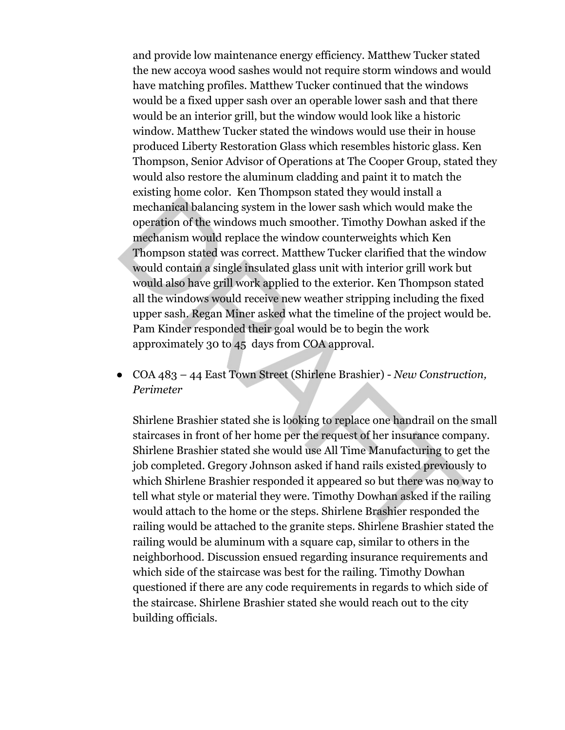and provide low maintenance energy efficiency. Matthew Tucker stated the new accoya wood sashes would not require storm windows and would have matching profiles. Matthew Tucker continued that the windows would be a fixed upper sash over an operable lower sash and that there would be an interior grill, but the window would look like a historic window. Matthew Tucker stated the windows would use their in house produced Liberty Restoration Glass which resembles historic glass. Ken Thompson, Senior Advisor of Operations at The Cooper Group, stated they would also restore the aluminum cladding and paint it to match the existing home color. Ken Thompson stated they would install a mechanical balancing system in the lower sash which would make the operation of the windows much smoother. Timothy Dowhan asked if the mechanism would replace the window counterweights which Ken Thompson stated was correct. Matthew Tucker clarified that the window would contain a single insulated glass unit with interior grill work but would also have grill work applied to the exterior. Ken Thompson stated all the windows would receive new weather stripping including the fixed upper sash. Regan Miner asked what the timeline of the project would be. Pam Kinder responded their goal would be to begin the work approximately 30 to 45 days from COA approval.

● COA 483 – 44 East Town Street (Shirlene Brashier) - *New Construction, Perimeter*

Shirlene Brashier stated she is looking to replace one handrail on the small staircases in front of her home per the request of her insurance company. Shirlene Brashier stated she would use All Time Manufacturing to get the job completed. Gregory Johnson asked if hand rails existed previously to which Shirlene Brashier responded it appeared so but there was no way to tell what style or material they were. Timothy Dowhan asked if the railing would attach to the home or the steps. Shirlene Brashier responded the railing would be attached to the granite steps. Shirlene Brashier stated the railing would be aluminum with a square cap, similar to others in the neighborhood. Discussion ensued regarding insurance requirements and which side of the staircase was best for the railing. Timothy Dowhan questioned if there are any code requirements in regards to which side of the staircase. Shirlene Brashier stated she would reach out to the city building officials.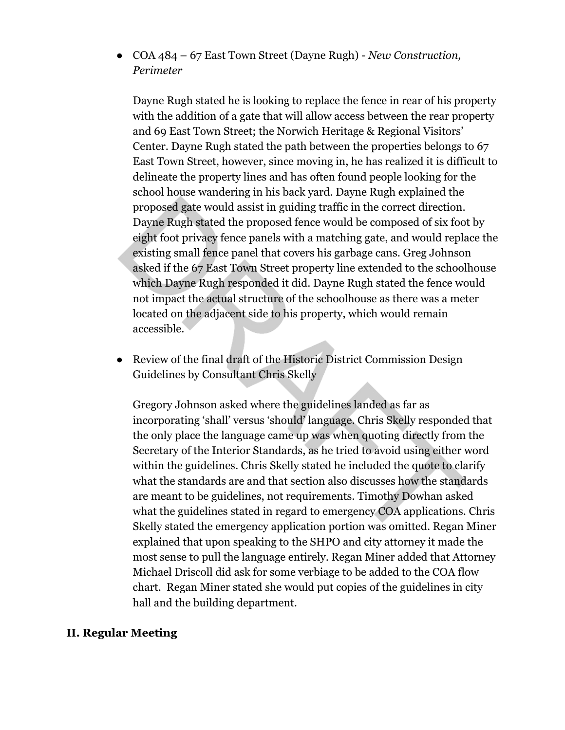● COA 484 – 67 East Town Street (Dayne Rugh) - *New Construction, Perimeter*

Dayne Rugh stated he is looking to replace the fence in rear of his property with the addition of a gate that will allow access between the rear property and 69 East Town Street; the Norwich Heritage & Regional Visitors' Center. Dayne Rugh stated the path between the properties belongs to 67 East Town Street, however, since moving in, he has realized it is difficult to delineate the property lines and has often found people looking for the school house wandering in his back yard. Dayne Rugh explained the proposed gate would assist in guiding traffic in the correct direction. Dayne Rugh stated the proposed fence would be composed of six foot by eight foot privacy fence panels with a matching gate, and would replace the existing small fence panel that covers his garbage cans. Greg Johnson asked if the 67 East Town Street property line extended to the schoolhouse which Dayne Rugh responded it did. Dayne Rugh stated the fence would not impact the actual structure of the schoolhouse as there was a meter located on the adjacent side to his property, which would remain accessible.

● Review of the final draft of the Historic District Commission Design Guidelines by Consultant Chris Skelly

Gregory Johnson asked where the guidelines landed as far as incorporating 'shall' versus 'should' language. Chris Skelly responded that the only place the language came up was when quoting directly from the Secretary of the Interior Standards, as he tried to avoid using either word within the guidelines. Chris Skelly stated he included the quote to clarify what the standards are and that section also discusses how the standards are meant to be guidelines, not requirements. Timothy Dowhan asked what the guidelines stated in regard to emergency COA applications. Chris Skelly stated the emergency application portion was omitted. Regan Miner explained that upon speaking to the SHPO and city attorney it made the most sense to pull the language entirely. Regan Miner added that Attorney Michael Driscoll did ask for some verbiage to be added to the COA flow chart. Regan Miner stated she would put copies of the guidelines in city hall and the building department.

#### **II. Regular Meeting**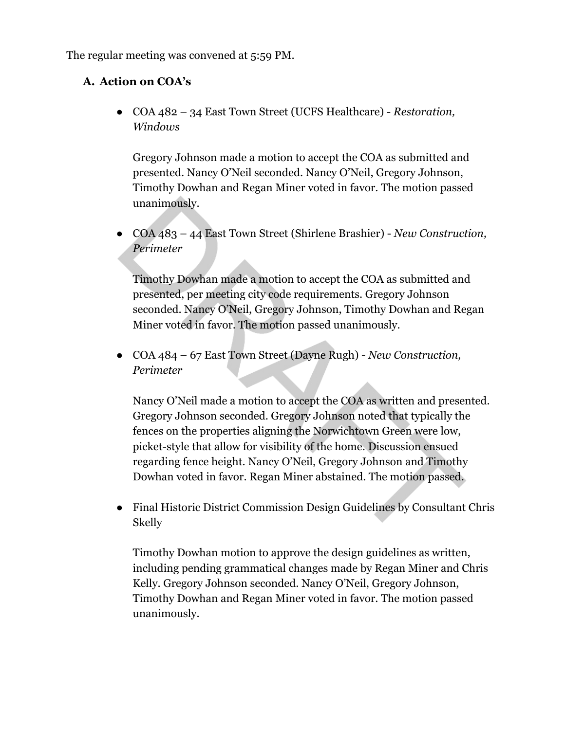The regular meeting was convened at 5:59 PM.

## **A. Action on COA's**

● COA 482 – 34 East Town Street (UCFS Healthcare) - *Restoration, Windows*

Gregory Johnson made a motion to accept the COA as submitted and presented. Nancy O'Neil seconded. Nancy O'Neil, Gregory Johnson, Timothy Dowhan and Regan Miner voted in favor. The motion passed unanimously.

● COA 483 – 44 East Town Street (Shirlene Brashier) - *New Construction, Perimeter*

Timothy Dowhan made a motion to accept the COA as submitted and presented, per meeting city code requirements. Gregory Johnson seconded. Nancy O'Neil, Gregory Johnson, Timothy Dowhan and Regan Miner voted in favor. The motion passed unanimously.

● COA 484 – 67 East Town Street (Dayne Rugh) - *New Construction, Perimeter*

Nancy O'Neil made a motion to accept the COA as written and presented. Gregory Johnson seconded. Gregory Johnson noted that typically the fences on the properties aligning the Norwichtown Green were low, picket-style that allow for visibility of the home. Discussion ensued regarding fence height. Nancy O'Neil, Gregory Johnson and Timothy Dowhan voted in favor. Regan Miner abstained. The motion passed.

● Final Historic District Commission Design Guidelines by Consultant Chris Skelly

Timothy Dowhan motion to approve the design guidelines as written, including pending grammatical changes made by Regan Miner and Chris Kelly. Gregory Johnson seconded. Nancy O'Neil, Gregory Johnson, Timothy Dowhan and Regan Miner voted in favor. The motion passed unanimously.